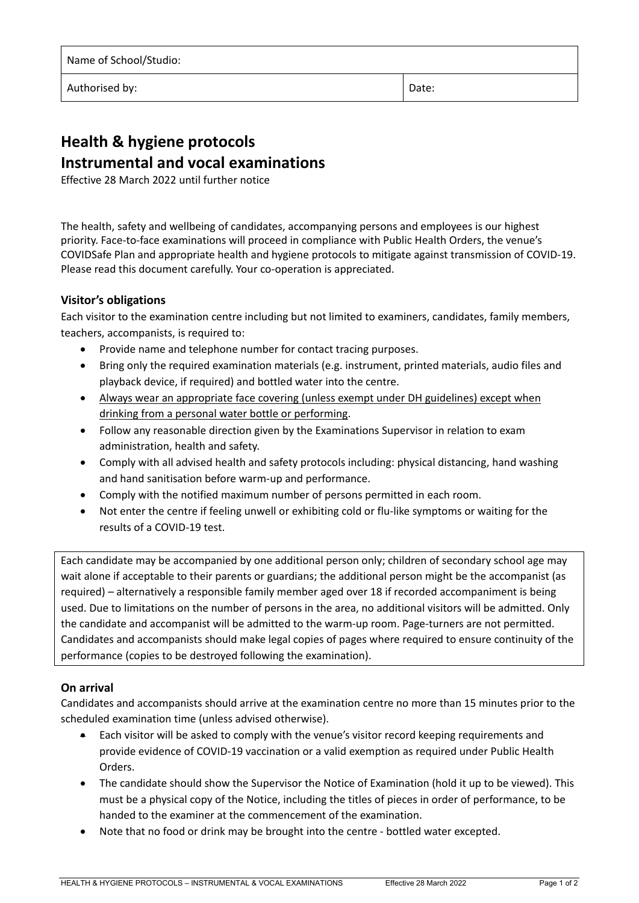| Name of School/Studio: |       |
|------------------------|-------|
| Authorised by:         | Date: |

# **Health & hygiene protocols Instrumental and vocal examinations**

Effective 28 March 2022 until further notice

The health, safety and wellbeing of candidates, accompanying persons and employees is our highest priority. Face‐to‐face examinations will proceed in compliance with Public Health Orders, the venue's COVIDSafe Plan and appropriate health and hygiene protocols to mitigate against transmission of COVID‐19. Please read this document carefully. Your co-operation is appreciated.

## **Visitor's obligations**

Each visitor to the examination centre including but not limited to examiners, candidates, family members, teachers, accompanists, is required to:

- Provide name and telephone number for contact tracing purposes.
- Bring only the required examination materials (e.g. instrument, printed materials, audio files and playback device, if required) and bottled water into the centre.
- Always wear an appropriate face covering (unless exempt under DH guidelines) except when drinking from a personal water bottle or performing.
- Follow any reasonable direction given by the Examinations Supervisor in relation to exam administration, health and safety.
- Comply with all advised health and safety protocols including: physical distancing, hand washing and hand sanitisation before warm‐up and performance.
- Comply with the notified maximum number of persons permitted in each room.
- Not enter the centre if feeling unwell or exhibiting cold or flu-like symptoms or waiting for the results of a COVID‐19 test.

Each candidate may be accompanied by one additional person only; children of secondary school age may wait alone if acceptable to their parents or guardians; the additional person might be the accompanist (as required) – alternatively a responsible family member aged over 18 if recorded accompaniment is being used. Due to limitations on the number of persons in the area, no additional visitors will be admitted. Only the candidate and accompanist will be admitted to the warm-up room. Page-turners are not permitted. Candidates and accompanists should make legal copies of pages where required to ensure continuity of the performance (copies to be destroyed following the examination).

### **On arrival**

Candidates and accompanists should arrive at the examination centre no more than 15 minutes prior to the scheduled examination time (unless advised otherwise).

- Each visitor will be asked to comply with the venue's visitor record keeping requirements and provide evidence of COVID‐19 vaccination or a valid exemption as required under Public Health Orders.
- The candidate should show the Supervisor the Notice of Examination (hold it up to be viewed). This must be a physical copy of the Notice, including the titles of pieces in order of performance, to be handed to the examiner at the commencement of the examination.
- Note that no food or drink may be brought into the centre ‐ bottled water excepted.